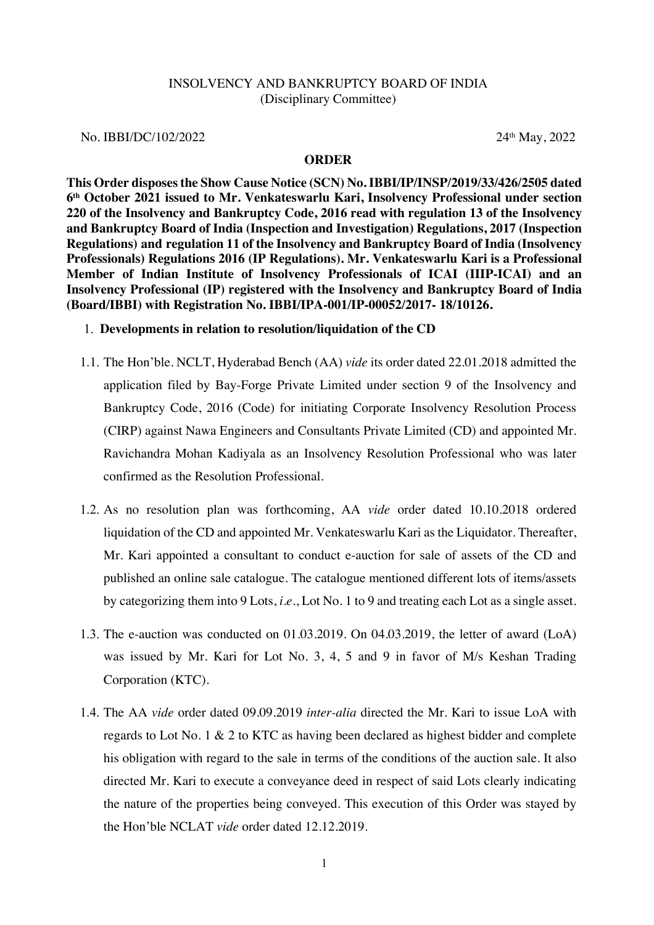## INSOLVENCY AND BANKRUPTCY BOARD OF INDIA (Disciplinary Committee)

No. IBBI/DC/102/2022 24<sup>th</sup> May, 2022

#### **ORDER**

**This Order disposes the Show Cause Notice (SCN) No. IBBI/IP/INSP/2019/33/426/2505 dated 6th October 2021 issued to Mr. Venkateswarlu Kari, Insolvency Professional under section 220 of the Insolvency and Bankruptcy Code, 2016 read with regulation 13 of the Insolvency and Bankruptcy Board of India (Inspection and Investigation) Regulations, 2017 (Inspection Regulations) and regulation 11 of the Insolvency and Bankruptcy Board of India (Insolvency Professionals) Regulations 2016 (IP Regulations). Mr. Venkateswarlu Kari is a Professional Member of Indian Institute of Insolvency Professionals of ICAI (IIIP-ICAI) and an Insolvency Professional (IP) registered with the Insolvency and Bankruptcy Board of India (Board/IBBI) with Registration No. IBBI/IPA-001/IP-00052/2017- 18/10126.**

## 1. **Developments in relation to resolution/liquidation of the CD**

- 1.1. The Hon'ble. NCLT, Hyderabad Bench (AA) *vide* its order dated 22.01.2018 admitted the application filed by Bay-Forge Private Limited under section 9 of the Insolvency and Bankruptcy Code, 2016 (Code) for initiating Corporate Insolvency Resolution Process (CIRP) against Nawa Engineers and Consultants Private Limited (CD) and appointed Mr. Ravichandra Mohan Kadiyala as an Insolvency Resolution Professional who was later confirmed as the Resolution Professional.
- 1.2. As no resolution plan was forthcoming, AA *vide* order dated 10.10.2018 ordered liquidation of the CD and appointed Mr. Venkateswarlu Kari as the Liquidator. Thereafter, Mr. Kari appointed a consultant to conduct e-auction for sale of assets of the CD and published an online sale catalogue. The catalogue mentioned different lots of items/assets by categorizing them into 9 Lots, *i.e.*, Lot No. 1 to 9 and treating each Lot as a single asset.
- 1.3. The e-auction was conducted on 01.03.2019. On 04.03.2019, the letter of award (LoA) was issued by Mr. Kari for Lot No. 3, 4, 5 and 9 in favor of M/s Keshan Trading Corporation (KTC).
- 1.4. The AA *vide* order dated 09.09.2019 *inter-alia* directed the Mr. Kari to issue LoA with regards to Lot No. 1 & 2 to KTC as having been declared as highest bidder and complete his obligation with regard to the sale in terms of the conditions of the auction sale. It also directed Mr. Kari to execute a conveyance deed in respect of said Lots clearly indicating the nature of the properties being conveyed. This execution of this Order was stayed by the Hon'ble NCLAT *vide* order dated 12.12.2019.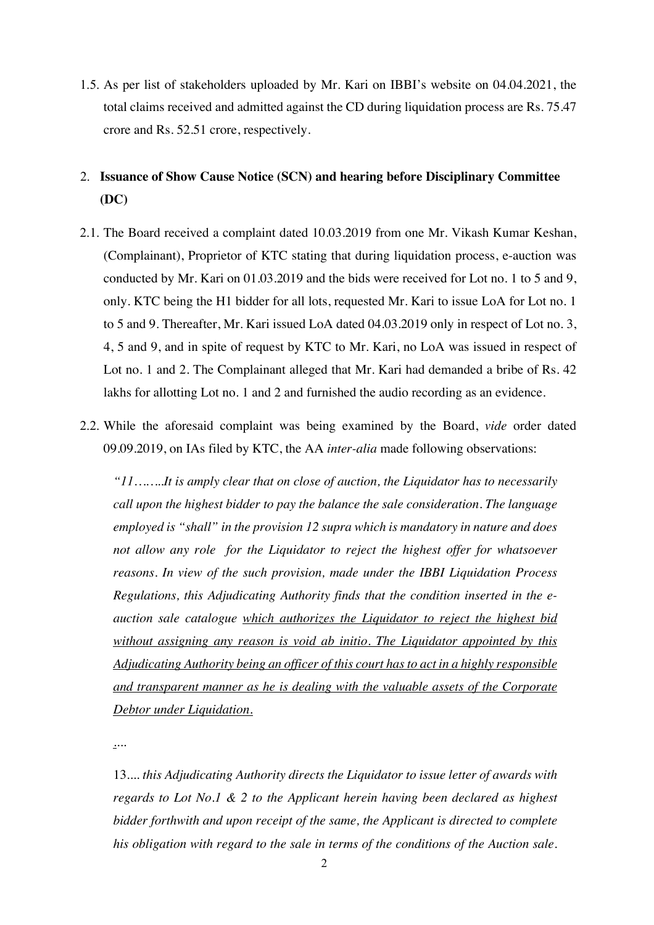1.5. As per list of stakeholders uploaded by Mr. Kari on IBBI's website on 04.04.2021, the total claims received and admitted against the CD during liquidation process are Rs. 75.47 crore and Rs. 52.51 crore, respectively.

# 2. **Issuance of Show Cause Notice (SCN) and hearing before Disciplinary Committee (DC)**

- 2.1. The Board received a complaint dated 10.03.2019 from one Mr. Vikash Kumar Keshan, (Complainant), Proprietor of KTC stating that during liquidation process, e-auction was conducted by Mr. Kari on 01.03.2019 and the bids were received for Lot no. 1 to 5 and 9, only. KTC being the H1 bidder for all lots, requested Mr. Kari to issue LoA for Lot no. 1 to 5 and 9. Thereafter, Mr. Kari issued LoA dated 04.03.2019 only in respect of Lot no. 3, 4, 5 and 9, and in spite of request by KTC to Mr. Kari, no LoA was issued in respect of Lot no. 1 and 2. The Complainant alleged that Mr. Kari had demanded a bribe of Rs. 42 lakhs for allotting Lot no. 1 and 2 and furnished the audio recording as an evidence.
- 2.2. While the aforesaid complaint was being examined by the Board, *vide* order dated 09.09.2019, on IAs filed by KTC, the AA *inter-alia* made following observations:

*"11……..It is amply clear that on close of auction, the Liquidator has to necessarily call upon the highest bidder to pay the balance the sale consideration. The language employed is "shall" in the provision 12 supra which is mandatory in nature and does not allow any role for the Liquidator to reject the highest offer for whatsoever reasons. In view of the such provision, made under the IBBI Liquidation Process Regulations, this Adjudicating Authority finds that the condition inserted in the eauction sale catalogue which authorizes the Liquidator to reject the highest bid without assigning any reason is void ab initio. The Liquidator appointed by this Adjudicating Authority being an officer of this court has to act in a highly responsible and transparent manner as he is dealing with the valuable assets of the Corporate Debtor under Liquidation.* 

*....*

13*.... this Adjudicating Authority directs the Liquidator to issue letter of awards with regards to Lot No.1 & 2 to the Applicant herein having been declared as highest bidder forthwith and upon receipt of the same, the Applicant is directed to complete his obligation with regard to the sale in terms of the conditions of the Auction sale.*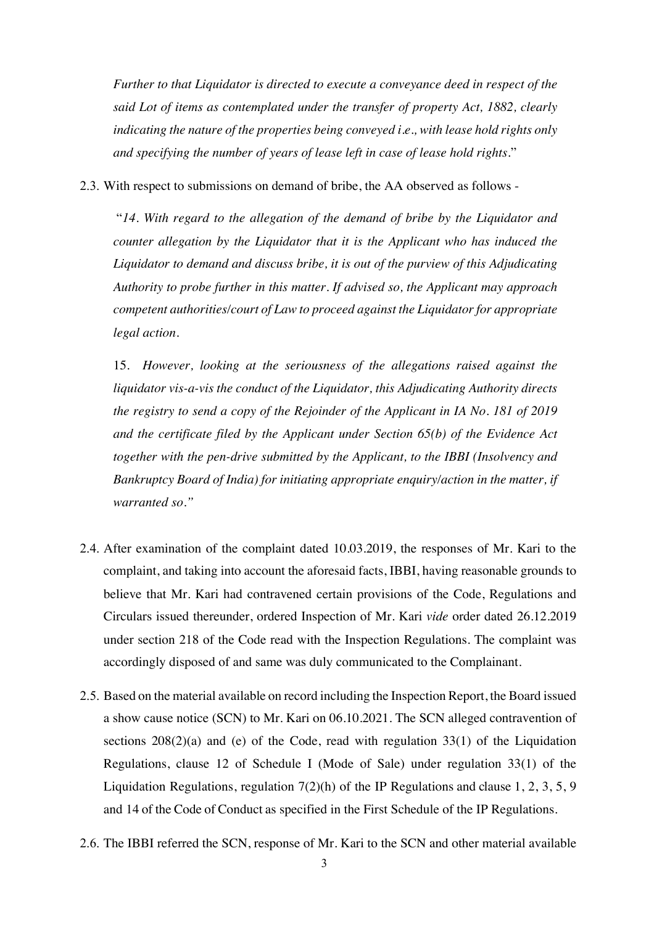*Further to that Liquidator is directed to execute a conveyance deed in respect of the said Lot of items as contemplated under the transfer of property Act, 1882, clearly indicating the nature of the properties being conveyed i.e., with lease hold rights only and specifying the number of years of lease left in case of lease hold rights.*"

2.3. With respect to submissions on demand of bribe, the AA observed as follows -

"*14. With regard to the allegation of the demand of bribe by the Liquidator and counter allegation by the Liquidator that it is the Applicant who has induced the Liquidator to demand and discuss bribe, it is out of the purview of this Adjudicating Authority to probe further in this matter. If advised so, the Applicant may approach competent authorities/court of Law to proceed against the Liquidator for appropriate legal action.*

15*. However, looking at the seriousness of the allegations raised against the liquidator vis-a-vis the conduct of the Liquidator, this Adjudicating Authority directs the registry to send a copy of the Rejoinder of the Applicant in IA No. 181 of 2019 and the certificate filed by the Applicant under Section 65(b) of the Evidence Act together with the pen-drive submitted by the Applicant, to the IBBI (Insolvency and Bankruptcy Board of India) for initiating appropriate enquiry/action in the matter, if warranted so."*

- 2.4. After examination of the complaint dated 10.03.2019, the responses of Mr. Kari to the complaint, and taking into account the aforesaid facts, IBBI, having reasonable grounds to believe that Mr. Kari had contravened certain provisions of the Code, Regulations and Circulars issued thereunder, ordered Inspection of Mr. Kari *vide* order dated 26.12.2019 under section 218 of the Code read with the Inspection Regulations. The complaint was accordingly disposed of and same was duly communicated to the Complainant.
- 2.5. Based on the material available on record including the Inspection Report, the Board issued a show cause notice (SCN) to Mr. Kari on 06.10.2021. The SCN alleged contravention of sections 208(2)(a) and (e) of the Code, read with regulation 33(1) of the Liquidation Regulations, clause 12 of Schedule I (Mode of Sale) under regulation 33(1) of the Liquidation Regulations, regulation 7(2)(h) of the IP Regulations and clause 1, 2, 3, 5, 9 and 14 of the Code of Conduct as specified in the First Schedule of the IP Regulations.
- 2.6. The IBBI referred the SCN, response of Mr. Kari to the SCN and other material available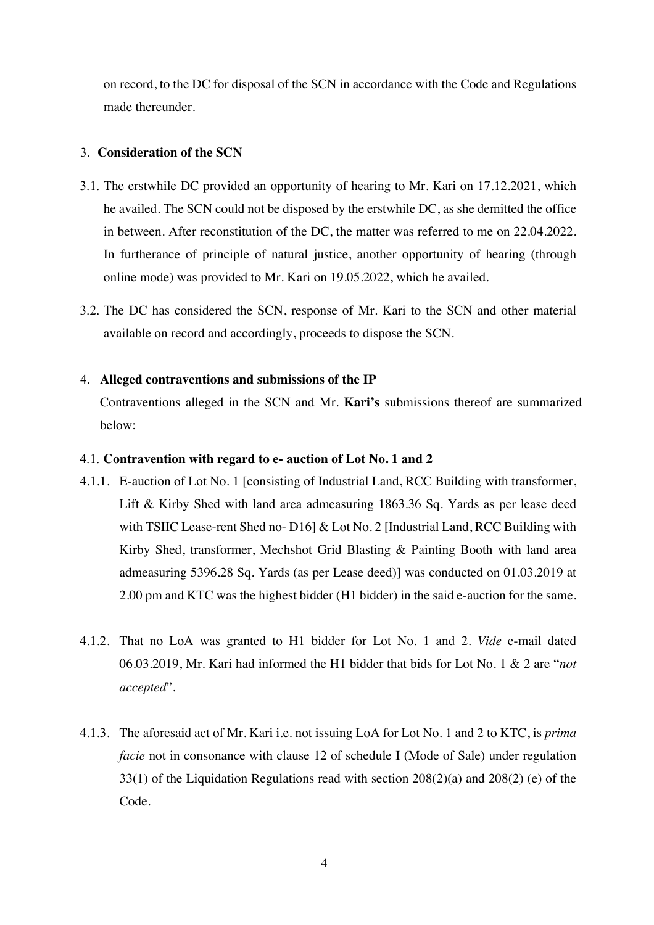on record, to the DC for disposal of the SCN in accordance with the Code and Regulations made thereunder.

# 3. **Consideration of the SCN**

- 3.1. The erstwhile DC provided an opportunity of hearing to Mr. Kari on 17.12.2021, which he availed. The SCN could not be disposed by the erstwhile DC, as she demitted the office in between. After reconstitution of the DC, the matter was referred to me on 22.04.2022. In furtherance of principle of natural justice, another opportunity of hearing (through online mode) was provided to Mr. Kari on 19.05.2022, which he availed.
- 3.2. The DC has considered the SCN, response of Mr. Kari to the SCN and other material available on record and accordingly, proceeds to dispose the SCN.

## 4. **Alleged contraventions and submissions of the IP**

Contraventions alleged in the SCN and Mr. **Kari's** submissions thereof are summarized below:

# 4.1. **Contravention with regard to e- auction of Lot No. 1 and 2**

- 4.1.1. E-auction of Lot No. 1 [consisting of Industrial Land, RCC Building with transformer, Lift & Kirby Shed with land area admeasuring 1863.36 Sq. Yards as per lease deed with TSIIC Lease-rent Shed no- D16] & Lot No. 2 [Industrial Land, RCC Building with Kirby Shed, transformer, Mechshot Grid Blasting & Painting Booth with land area admeasuring 5396.28 Sq. Yards (as per Lease deed)] was conducted on 01.03.2019 at 2.00 pm and KTC was the highest bidder (H1 bidder) in the said e-auction for the same.
- 4.1.2. That no LoA was granted to H1 bidder for Lot No. 1 and 2. *Vide* e-mail dated 06.03.2019, Mr. Kari had informed the H1 bidder that bids for Lot No. 1 & 2 are "*not accepted*".
- 4.1.3. The aforesaid act of Mr. Kari i.e. not issuing LoA for Lot No. 1 and 2 to KTC, is *prima facie* not in consonance with clause 12 of schedule I (Mode of Sale) under regulation 33(1) of the Liquidation Regulations read with section 208(2)(a) and 208(2) (e) of the Code.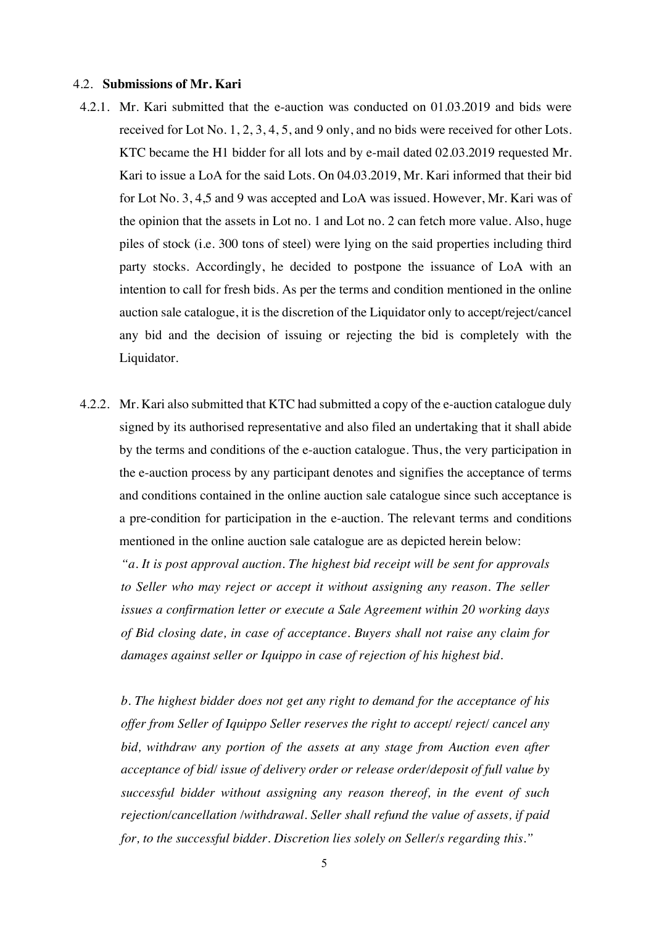#### 4.2. **Submissions of Mr. Kari**

- 4.2.1. Mr. Kari submitted that the e-auction was conducted on 01.03.2019 and bids were received for Lot No. 1, 2, 3, 4, 5, and 9 only, and no bids were received for other Lots. KTC became the H1 bidder for all lots and by e-mail dated 02.03.2019 requested Mr. Kari to issue a LoA for the said Lots. On 04.03.2019, Mr. Kari informed that their bid for Lot No. 3, 4,5 and 9 was accepted and LoA was issued. However, Mr. Kari was of the opinion that the assets in Lot no. 1 and Lot no. 2 can fetch more value. Also, huge piles of stock (i.e. 300 tons of steel) were lying on the said properties including third party stocks. Accordingly, he decided to postpone the issuance of LoA with an intention to call for fresh bids. As per the terms and condition mentioned in the online auction sale catalogue, it is the discretion of the Liquidator only to accept/reject/cancel any bid and the decision of issuing or rejecting the bid is completely with the Liquidator.
- 4.2.2. Mr. Kari also submitted that KTC had submitted a copy of the e-auction catalogue duly signed by its authorised representative and also filed an undertaking that it shall abide by the terms and conditions of the e-auction catalogue. Thus, the very participation in the e-auction process by any participant denotes and signifies the acceptance of terms and conditions contained in the online auction sale catalogue since such acceptance is a pre-condition for participation in the e-auction. The relevant terms and conditions mentioned in the online auction sale catalogue are as depicted herein below:

*"a. It is post approval auction. The highest bid receipt will be sent for approvals to Seller who may reject or accept it without assigning any reason. The seller issues a confirmation letter or execute a Sale Agreement within 20 working days of Bid closing date, in case of acceptance. Buyers shall not raise any claim for damages against seller or Iquippo in case of rejection of his highest bid.* 

*b. The highest bidder does not get any right to demand for the acceptance of his offer from Seller of Iquippo Seller reserves the right to accept/ reject/ cancel any bid, withdraw any portion of the assets at any stage from Auction even after acceptance of bid/ issue of delivery order or release order/deposit of full value by successful bidder without assigning any reason thereof, in the event of such rejection/cancellation /withdrawal. Seller shall refund the value of assets, if paid for, to the successful bidder. Discretion lies solely on Seller/s regarding this."*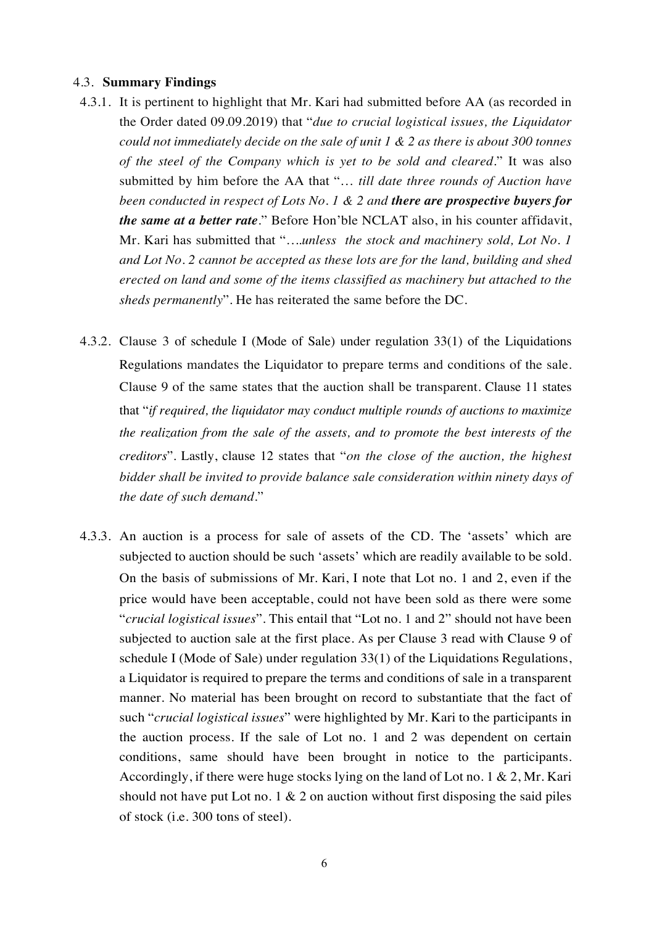## 4.3. **Summary Findings**

- 4.3.1. It is pertinent to highlight that Mr. Kari had submitted before AA (as recorded in the Order dated 09.09.2019) that "*due to crucial logistical issues, the Liquidator could not immediately decide on the sale of unit 1 & 2 as there is about 300 tonnes of the steel of the Company which is yet to be sold and cleared.*" It was also submitted by him before the AA that "… *till date three rounds of Auction have been conducted in respect of Lots No. 1 & 2 and there are prospective buyers for the same at a better rate.*" Before Hon'ble NCLAT also, in his counter affidavit, Mr. Kari has submitted that "*….unless the stock and machinery sold, Lot No. 1 and Lot No. 2 cannot be accepted as these lots are for the land, building and shed erected on land and some of the items classified as machinery but attached to the sheds permanently*". He has reiterated the same before the DC.
- 4.3.2. Clause 3 of schedule I (Mode of Sale) under regulation 33(1) of the Liquidations Regulations mandates the Liquidator to prepare terms and conditions of the sale. Clause 9 of the same states that the auction shall be transparent. Clause 11 states that "*if required, the liquidator may conduct multiple rounds of auctions to maximize the realization from the sale of the assets, and to promote the best interests of the creditors*". Lastly, clause 12 states that "*on the close of the auction, the highest bidder shall be invited to provide balance sale consideration within ninety days of the date of such demand.*"
- 4.3.3. An auction is a process for sale of assets of the CD. The 'assets' which are subjected to auction should be such 'assets' which are readily available to be sold. On the basis of submissions of Mr. Kari, I note that Lot no. 1 and 2, even if the price would have been acceptable, could not have been sold as there were some "*crucial logistical issues*". This entail that "Lot no. 1 and 2" should not have been subjected to auction sale at the first place. As per Clause 3 read with Clause 9 of schedule I (Mode of Sale) under regulation 33(1) of the Liquidations Regulations, a Liquidator is required to prepare the terms and conditions of sale in a transparent manner. No material has been brought on record to substantiate that the fact of such "*crucial logistical issues*" were highlighted by Mr. Kari to the participants in the auction process. If the sale of Lot no. 1 and 2 was dependent on certain conditions, same should have been brought in notice to the participants. Accordingly, if there were huge stocks lying on the land of Lot no. 1 & 2, Mr. Kari should not have put Lot no. 1  $\&$  2 on auction without first disposing the said piles of stock (i.e. 300 tons of steel).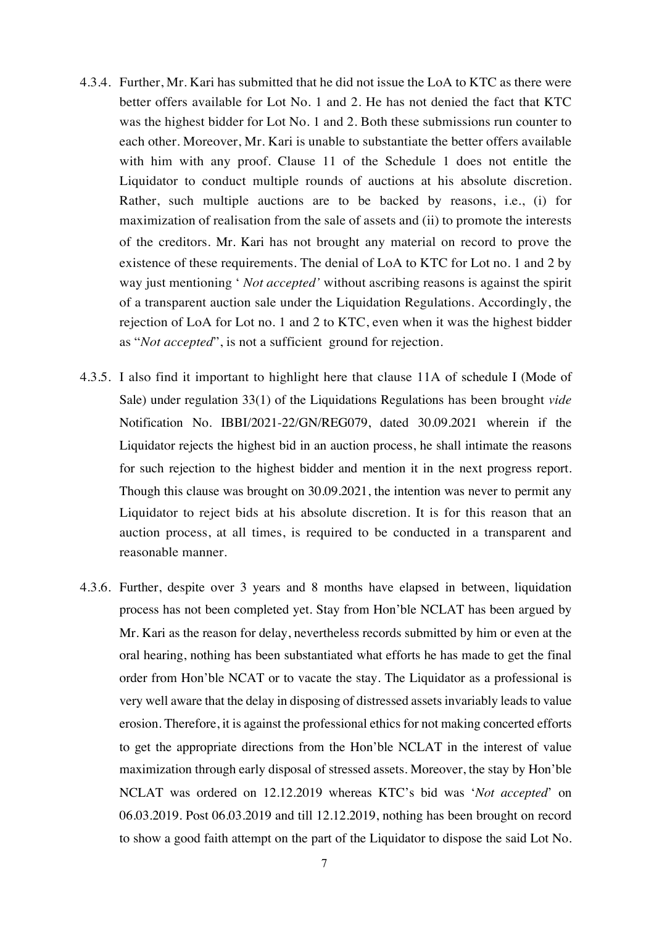- 4.3.4. Further, Mr. Kari has submitted that he did not issue the LoA to KTC as there were better offers available for Lot No. 1 and 2. He has not denied the fact that KTC was the highest bidder for Lot No. 1 and 2. Both these submissions run counter to each other. Moreover, Mr. Kari is unable to substantiate the better offers available with him with any proof. Clause 11 of the Schedule 1 does not entitle the Liquidator to conduct multiple rounds of auctions at his absolute discretion. Rather, such multiple auctions are to be backed by reasons, i.e., (i) for maximization of realisation from the sale of assets and (ii) to promote the interests of the creditors. Mr. Kari has not brought any material on record to prove the existence of these requirements. The denial of LoA to KTC for Lot no. 1 and 2 by way just mentioning ' *Not accepted'* without ascribing reasons is against the spirit of a transparent auction sale under the Liquidation Regulations. Accordingly, the rejection of LoA for Lot no. 1 and 2 to KTC, even when it was the highest bidder as "*Not accepted*", is not a sufficient ground for rejection.
- 4.3.5. I also find it important to highlight here that clause 11A of schedule I (Mode of Sale) under regulation 33(1) of the Liquidations Regulations has been brought *vide* Notification No. IBBI/2021-22/GN/REG079, dated 30.09.2021 wherein if the Liquidator rejects the highest bid in an auction process, he shall intimate the reasons for such rejection to the highest bidder and mention it in the next progress report. Though this clause was brought on 30.09.2021, the intention was never to permit any Liquidator to reject bids at his absolute discretion. It is for this reason that an auction process, at all times, is required to be conducted in a transparent and reasonable manner.
- 4.3.6. Further, despite over 3 years and 8 months have elapsed in between, liquidation process has not been completed yet. Stay from Hon'ble NCLAT has been argued by Mr. Kari as the reason for delay, nevertheless records submitted by him or even at the oral hearing, nothing has been substantiated what efforts he has made to get the final order from Hon'ble NCAT or to vacate the stay. The Liquidator as a professional is very well aware that the delay in disposing of distressed assets invariably leads to value erosion. Therefore, it is against the professional ethics for not making concerted efforts to get the appropriate directions from the Hon'ble NCLAT in the interest of value maximization through early disposal of stressed assets. Moreover, the stay by Hon'ble NCLAT was ordered on 12.12.2019 whereas KTC's bid was '*Not accepted*' on 06.03.2019. Post 06.03.2019 and till 12.12.2019, nothing has been brought on record to show a good faith attempt on the part of the Liquidator to dispose the said Lot No.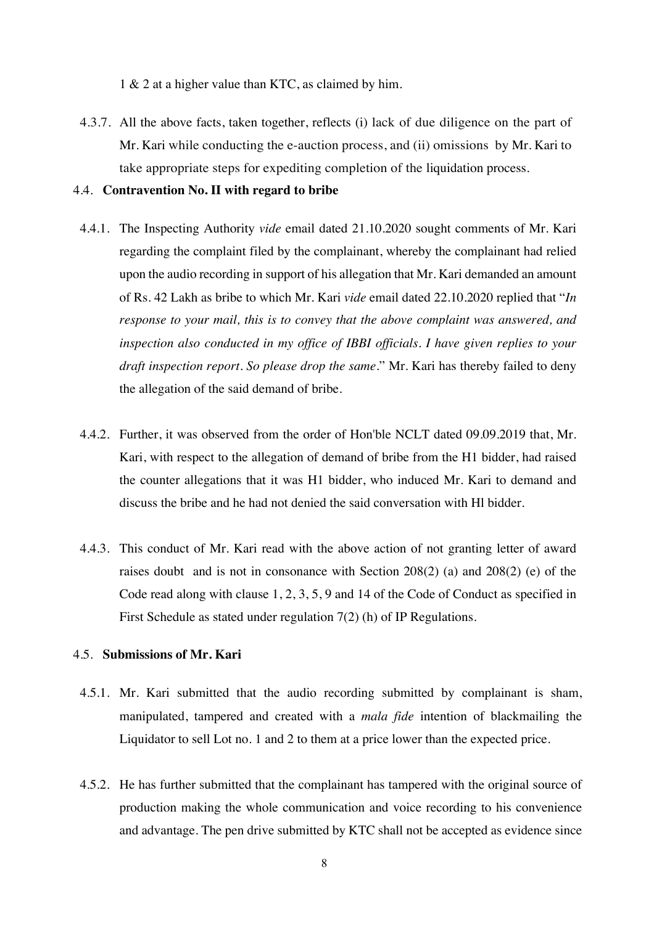1 & 2 at a higher value than KTC, as claimed by him.

4.3.7. All the above facts, taken together, reflects (i) lack of due diligence on the part of Mr. Kari while conducting the e-auction process, and (ii) omissions by Mr. Kari to take appropriate steps for expediting completion of the liquidation process.

## 4.4. **Contravention No. II with regard to bribe**

- 4.4.1. The Inspecting Authority *vide* email dated 21.10.2020 sought comments of Mr. Kari regarding the complaint filed by the complainant, whereby the complainant had relied upon the audio recording in support of his allegation that Mr. Kari demanded an amount of Rs. 42 Lakh as bribe to which Mr. Kari *vide* email dated 22.10.2020 replied that "*In response to your mail, this is to convey that the above complaint was answered, and inspection also conducted in my office of IBBI officials. I have given replies to your draft inspection report. So please drop the same.*" Mr. Kari has thereby failed to deny the allegation of the said demand of bribe.
- 4.4.2. Further, it was observed from the order of Hon'ble NCLT dated 09.09.2019 that, Mr. Kari, with respect to the allegation of demand of bribe from the H1 bidder, had raised the counter allegations that it was H1 bidder, who induced Mr. Kari to demand and discuss the bribe and he had not denied the said conversation with Hl bidder.
- 4.4.3. This conduct of Mr. Kari read with the above action of not granting letter of award raises doubt and is not in consonance with Section 208(2) (a) and 208(2) (e) of the Code read along with clause 1, 2, 3, 5, 9 and 14 of the Code of Conduct as specified in First Schedule as stated under regulation 7(2) (h) of IP Regulations.

## 4.5. **Submissions of Mr. Kari**

- 4.5.1. Mr. Kari submitted that the audio recording submitted by complainant is sham, manipulated, tampered and created with a *mala fide* intention of blackmailing the Liquidator to sell Lot no. 1 and 2 to them at a price lower than the expected price.
- 4.5.2. He has further submitted that the complainant has tampered with the original source of production making the whole communication and voice recording to his convenience and advantage. The pen drive submitted by KTC shall not be accepted as evidence since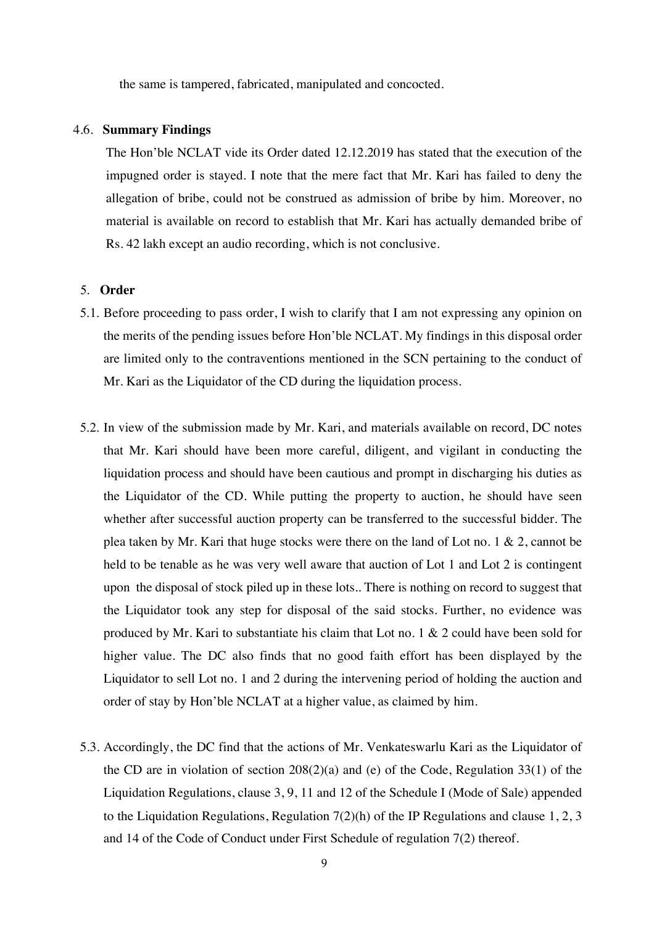the same is tampered, fabricated, manipulated and concocted.

#### 4.6. **Summary Findings**

The Hon'ble NCLAT vide its Order dated 12.12.2019 has stated that the execution of the impugned order is stayed. I note that the mere fact that Mr. Kari has failed to deny the allegation of bribe, could not be construed as admission of bribe by him. Moreover, no material is available on record to establish that Mr. Kari has actually demanded bribe of Rs. 42 lakh except an audio recording, which is not conclusive.

## 5. **Order**

- 5.1. Before proceeding to pass order, I wish to clarify that I am not expressing any opinion on the merits of the pending issues before Hon'ble NCLAT. My findings in this disposal order are limited only to the contraventions mentioned in the SCN pertaining to the conduct of Mr. Kari as the Liquidator of the CD during the liquidation process.
- 5.2. In view of the submission made by Mr. Kari, and materials available on record, DC notes that Mr. Kari should have been more careful, diligent, and vigilant in conducting the liquidation process and should have been cautious and prompt in discharging his duties as the Liquidator of the CD. While putting the property to auction, he should have seen whether after successful auction property can be transferred to the successful bidder. The plea taken by Mr. Kari that huge stocks were there on the land of Lot no. 1 & 2, cannot be held to be tenable as he was very well aware that auction of Lot 1 and Lot 2 is contingent upon the disposal of stock piled up in these lots.. There is nothing on record to suggest that the Liquidator took any step for disposal of the said stocks. Further, no evidence was produced by Mr. Kari to substantiate his claim that Lot no. 1 & 2 could have been sold for higher value. The DC also finds that no good faith effort has been displayed by the Liquidator to sell Lot no. 1 and 2 during the intervening period of holding the auction and order of stay by Hon'ble NCLAT at a higher value, as claimed by him.
- 5.3. Accordingly, the DC find that the actions of Mr. Venkateswarlu Kari as the Liquidator of the CD are in violation of section  $208(2)(a)$  and (e) of the Code, Regulation 33(1) of the Liquidation Regulations, clause 3, 9, 11 and 12 of the Schedule I (Mode of Sale) appended to the Liquidation Regulations, Regulation  $7(2)(h)$  of the IP Regulations and clause 1, 2, 3 and 14 of the Code of Conduct under First Schedule of regulation 7(2) thereof.